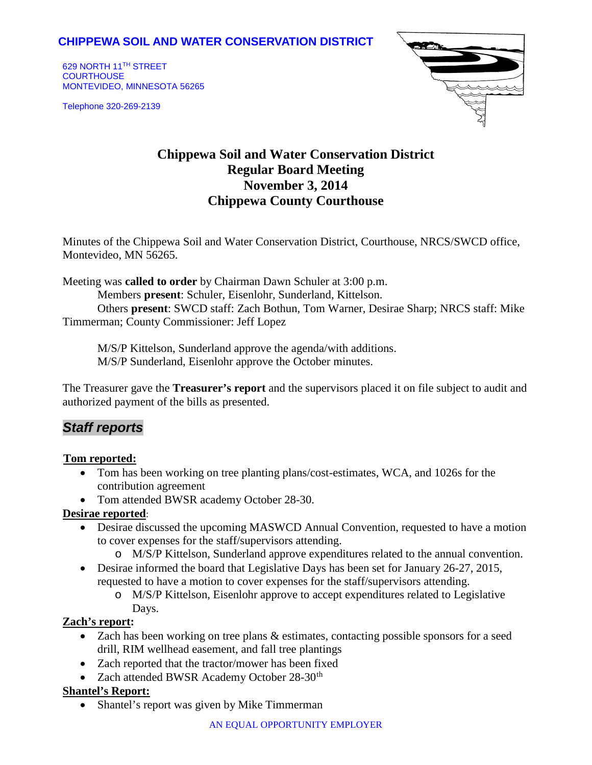## **CHIPPEWA SOIL AND WATER CONSERVATION DISTRICT**

629 NORTH 11TH STREET **COURTHOUSE** MONTEVIDEO, MINNESOTA 56265

Telephone 320-269-2139



# **Chippewa Soil and Water Conservation District Regular Board Meeting November 3, 2014 Chippewa County Courthouse**

Minutes of the Chippewa Soil and Water Conservation District, Courthouse, NRCS/SWCD office, Montevideo, MN 56265.

Meeting was **called to order** by Chairman Dawn Schuler at 3:00 p.m.

Members **present**: Schuler, Eisenlohr, Sunderland, Kittelson.

Others **present**: SWCD staff: Zach Bothun, Tom Warner, Desirae Sharp; NRCS staff: Mike Timmerman; County Commissioner: Jeff Lopez

M/S/P Kittelson, Sunderland approve the agenda/with additions. M/S/P Sunderland, Eisenlohr approve the October minutes.

The Treasurer gave the **Treasurer's report** and the supervisors placed it on file subject to audit and authorized payment of the bills as presented.

## *Staff reports*

#### <sup>U</sup>**Tom reported:**

- Tom has been working on tree planting plans/cost-estimates, WCA, and 1026s for the contribution agreement
- Tom attended BWSR academy October 28-30.

#### **Desirae reported**:

- Desirae discussed the upcoming MASWCD Annual Convention, requested to have a motion to cover expenses for the staff/supervisors attending.
	- o M/S/P Kittelson, Sunderland approve expenditures related to the annual convention.
- Desirae informed the board that Legislative Days has been set for January 26-27, 2015, requested to have a motion to cover expenses for the staff/supervisors attending.
	- o M/S/P Kittelson, Eisenlohr approve to accept expenditures related to Legislative Days.

#### **Zach's report:**

- Zach has been working on tree plans & estimates, contacting possible sponsors for a seed drill, RIM wellhead easement, and fall tree plantings
- Zach reported that the tractor/mower has been fixed
- Zach attended BWSR Academy October  $28-30<sup>th</sup>$

### **Shantel's Report:**

• Shantel's report was given by Mike Timmerman